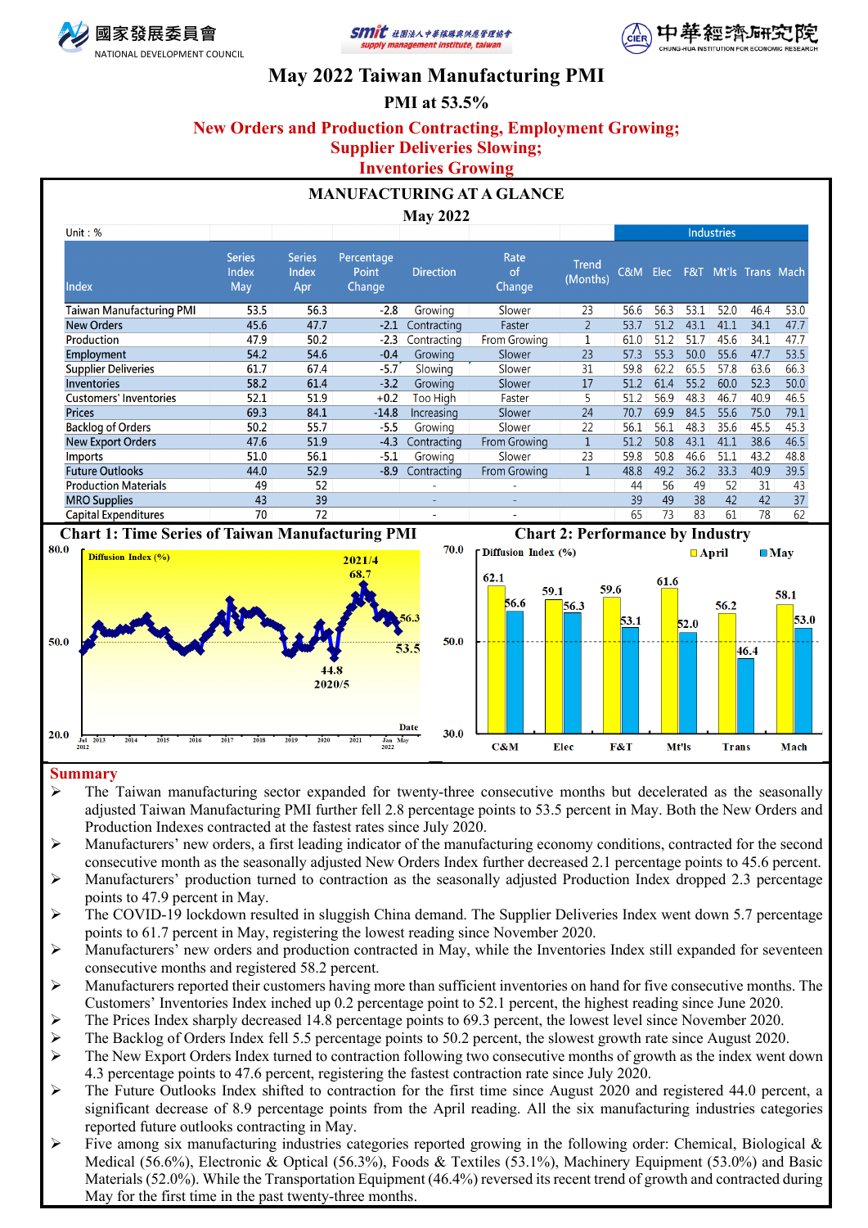





# **May 2022 Taiwan Manufacturing PMI**

# **PMI at 53.5%**

## **New Orders and Production Contracting, Employment Growing; Supplier Deliveries Slowing;**

# **Inventories Growing**

## **MANUFACTURING AT A GLANCE**

### **May 2022**

| Unit: $%$                     |                               |                               |                                      |                          |                             |                   | Industries |      |      |      |                      |      |
|-------------------------------|-------------------------------|-------------------------------|--------------------------------------|--------------------------|-----------------------------|-------------------|------------|------|------|------|----------------------|------|
| Index                         | <b>Series</b><br>Index<br>May | <b>Series</b><br>Index<br>Apr | Percentage<br><b>Point</b><br>Change | <b>Direction</b>         | Rate<br>of<br><b>Change</b> | Trend<br>(Months) | C&M        | Elec |      |      | F&T Mt'ls Trans Mach |      |
| Taiwan Manufacturing PMI      | 53.5                          | 56.3                          | $-2.8$                               | Growing                  | Slower                      | 23                | 56.6       | 56.3 | 53.1 | 52.0 | 46.4                 | 53.0 |
| <b>New Orders</b>             | 45.6                          | 47.7                          | $-2.1$                               | Contracting              | Faster                      | $\overline{2}$    | 53.7       | 51.2 | 43.1 | 41.1 | 34.1                 | 47.7 |
| Production                    | 47.9                          | 50.2                          | $-2.3$                               | Contracting              | From Growing                |                   | 61.0       | 51.2 | 51.7 | 45.6 | 34.1                 | 47.7 |
| Employment                    | 54.2                          | 54.6                          | $-0.4$                               | Growing                  | Slower                      | 23                | 57.3       | 55.3 | 50.0 | 55.6 | 47.7                 | 53.5 |
| <b>Supplier Deliveries</b>    | 61.7                          | 67.4                          | $-5.7$                               | Slowing                  | Slower                      | 31                | 59.8       | 62.2 | 65.5 | 57.8 | 63.6                 | 66.3 |
| <b>Inventories</b>            | 58.2                          | 61.4                          | $-3.2$                               | Growing                  | Slower                      | 17                | 51.2       | 61.4 | 55.2 | 60.0 | 52.3                 | 50.0 |
| <b>Customers' Inventories</b> | 52.1                          | 51.9                          | $+0.2$                               | Too High                 | Faster                      | 5                 | 51.2       | 56.9 | 48.3 | 46.7 | 40.9                 | 46.5 |
| <b>Prices</b>                 | 69.3                          | 84.1                          | $-14.8$                              | Increasing               | Slower                      | 24                | 70.7       | 69.9 | 84.5 | 55.6 | 75.0                 | 79.1 |
| <b>Backlog of Orders</b>      | 50.2                          | 55.7                          | $-5.5$                               | Growing                  | Slower                      | 22                | 56.1       | 56.1 | 48.3 | 35.6 | 45.5                 | 45.3 |
| <b>New Export Orders</b>      | 47.6                          | 51.9                          | $-4.3$                               | Contracting              | From Growing                |                   | 51.2       | 50.8 | 43.1 | 41.1 | 38.6                 | 46.5 |
| <b>Imports</b>                | 51.0                          | 56.1                          | $-5.1$                               | Growing                  | Slower                      | 23                | 59.8       | 50.8 | 46.6 | 51.1 | 43.2                 | 48.8 |
| <b>Future Outlooks</b>        | 44.0                          | 52.9                          | $-8.9$                               | Contracting              | <b>From Growing</b>         |                   | 48.8       | 49.2 | 36.2 | 33.3 | 40.9                 | 39.5 |
| <b>Production Materials</b>   | 49                            | 52                            |                                      | $\sim$                   |                             |                   | 44         | 56   | 49   | 52   | 31                   | 43   |
| <b>MRO Supplies</b>           | 43                            | 39                            |                                      | $\overline{\phantom{0}}$ | ۰                           |                   | 39         | 49   | 38   | 42   | 42                   | 37   |
| <b>Capital Expenditures</b>   | 70                            | 72                            |                                      | $\overline{\phantom{a}}$ |                             |                   | 65         | 73   | 83   | 61   | 78                   | 62   |



### **Summary**

- $\triangleright$  The Taiwan manufacturing sector expanded for twenty-three consecutive months but decelerated as the seasonally adjusted Taiwan Manufacturing PMI further fell 2.8 percentage points to 53.5 percent in May. Both the New Orders and Production Indexes contracted at the fastest rates since July 2020.
- $\triangleright$  Manufacturers' new orders, a first leading indicator of the manufacturing economy conditions, contracted for the second consecutive month as the seasonally adjusted New Orders Index further decreased 2.1 percentage points to 45.6 percent.
- Ø Manufacturers' production turned to contraction as the seasonally adjusted Production Index dropped 2.3 percentage points to 47.9 percent in May.
- $\triangleright$  The COVID-19 lockdown resulted in sluggish China demand. The Supplier Deliveries Index went down 5.7 percentage points to 61.7 percent in May, registering the lowest reading since November 2020.
- Ø Manufacturers' new orders and production contracted in May, while the Inventories Index still expanded for seventeen consecutive months and registered 58.2 percent.
- Ø Manufacturers reported their customers having more than sufficient inventories on hand for five consecutive months. The Customers' Inventories Index inched up 0.2 percentage point to 52.1 percent, the highest reading since June 2020.
- $\blacktriangleright$  The Prices Index sharply decreased 14.8 percentage points to 69.3 percent, the lowest level since November 2020.
- $\triangleright$  The Backlog of Orders Index fell 5.5 percentage points to 50.2 percent, the slowest growth rate since August 2020.
- $\triangleright$  The New Export Orders Index turned to contraction following two consecutive months of growth as the index went down 4.3 percentage points to 47.6 percent, registering the fastest contraction rate since July 2020.
- $\triangleright$  The Future Outlooks Index shifted to contraction for the first time since August 2020 and registered 44.0 percent, a significant decrease of 8.9 percentage points from the April reading. All the six manufacturing industries categories reported future outlooks contracting in May.
- Ø Five among six manufacturing industries categories reported growing in the following order: Chemical, Biological & Medical (56.6%), Electronic & Optical (56.3%), Foods & Textiles (53.1%), Machinery Equipment (53.0%) and Basic Materials (52.0%). While the Transportation Equipment (46.4%) reversed its recent trend of growth and contracted during May for the first time in the past twenty-three months.